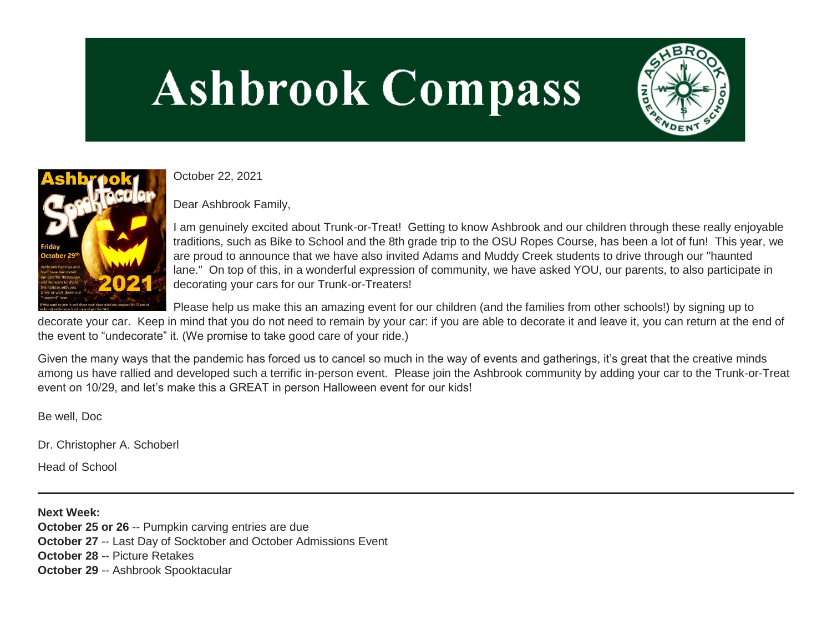# **Ashbrook Compass**





October 22, 2021

Dear Ashbrook Family,

I am genuinely excited about Trunk-or-Treat! Getting to know Ashbrook and our children through these really enjoyable traditions, such as Bike to School and the 8th grade trip to the OSU Ropes Course, has been a lot of fun! This year, we are proud to announce that we have also invited Adams and Muddy Creek students to drive through our "haunted lane." On top of this, in a wonderful expression of community, we have asked YOU, our parents, to also participate in decorating your cars for our Trunk-or-Treaters!

Please help us make this an amazing event for our children (and the families from other schools!) by signing up to

decorate your car. Keep in mind that you do not need to remain by your car: if you are able to decorate it and leave it, you can return at the end of the event to "undecorate" it. (We promise to take good care of your ride.)

Given the many ways that the pandemic has forced us to cancel so much in the way of events and gatherings, it's great that the creative minds among us have rallied and developed such a terrific in-person event. Please join the Ashbrook community by adding your car to the Trunk-or-Treat event on 10/29, and let's make this a GREAT in person Halloween event for our kids!

Be well, Doc

Dr. Christopher A. Schoberl

Head of School

**Next Week: October 25 or 26 -- Pumpkin carving entries are due October 27** -- Last Day of Socktober and October Admissions Event **October 28** -- Picture Retakes **October 29** -- Ashbrook Spooktacular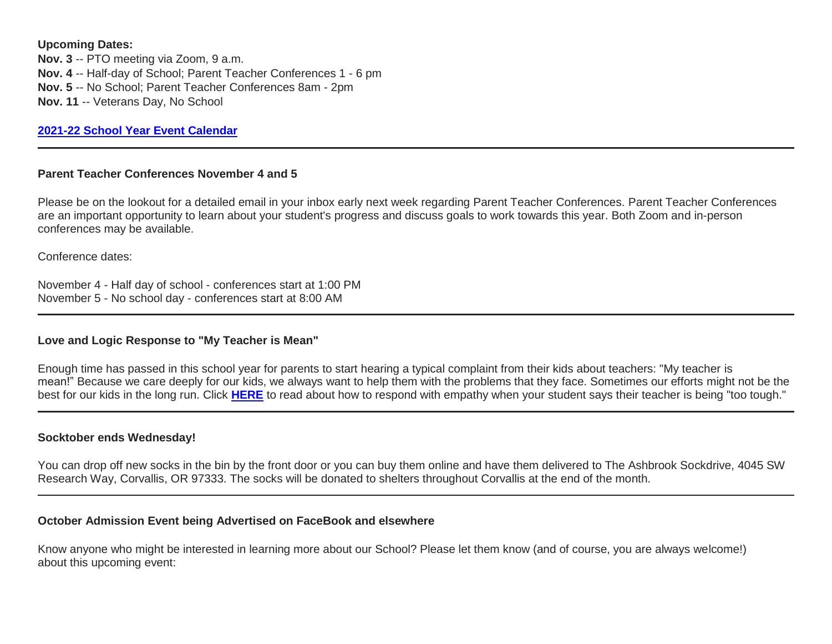**Upcoming Dates:**

**Nov. 3** -- PTO meeting via Zoom, 9 a.m. **Nov. 4** -- Half-day of School; Parent Teacher Conferences 1 - 6 pm **Nov. 5** -- No School; Parent Teacher Conferences 8am - 2pm **Nov. 11** -- Veterans Day, No School

**[2021-22 School Year Event Calendar](http://link.mystudentsprogress.com/ls/click?upn=t3AI3kjK1Pyk9qPfHnOahelBVVSIlRAa3GeSLMbkINmgHr3guxrPuqfp-2Bh-2FJW4nCZ4g8Gi3XkGXC-2FKATZbsSvlLtGaxynoxi8rg7wuoRjJ9ogb5HbX999Eip-2FZE6wLdBt-2FZXHJBS6zquMLtzN9wyAf-2BwWQPV3rI3lDDknuQ1JHMBzJ8gUYT-2F7YzNEwZY9IsL01sHprQ-2FIDOi-2FxvxQxcWetx3uPiVsOO-2BTqPctwW7ytf9RkxC1x3UjTIEBtRaqxRocHrr-2BmciBR4-2BJ-2F9FRK9RIbCVijz3zpNIIcd4PIsUMddSSVNBf6Erlmv-2BHBcLMpY-2BXATDQ1ruaOReFDZmWYSBv8U-2FG-2FKOr0yEkAwqSdMzdcQ3gq4Z79RZNOTZP4nGap5-2B4nzc4nIf29OyD3NhvJHQaLkc85sE-2FfYbPaGyyk6H2FOzJRYThJmT37US6LpTrGNlh9HxVTLYe1LpjcNTBXNJsSKlp-2BAa-2BVuGTdE8v33fTt9-2BgR-2BE9tSlDPzhNHxWPZ2RZ535aLRz3SoCCiPZR3EABfh4FMKDRC4z2q-2Bvjvbtim7SOD4kDD2r5XYSDBe4a3bcI5fNds6iRAQWmj3uDnwn3-2B3tKuGNT1JKaRpJXKTgGLzWZLAnNUo4fvdQC77H83vaK-2BM8PCeLuljt-2FRAsnx0cP-2FGdRouESOyMOB5ORkT-2BH-2Bkw4hRRiiTCpe61BsZqpA-2BukdPF_1PndbFfBoQGSZbxwXHHEexw3B2F0fG-2BUmuXm6a-2BX-2BztL4bVFBbsUEX81fS02vPA2aNsEg1AcYV-2FNXCTHNHcFUUv-2FSIiZLmFyiGgOL9UvHcEtOLKi7L2r16DNlNvOm9gFliOfa7mAYswTbpP480vejj4wuAJ6YasqyofOGd2J91CjpeMohV-2FNb2AFRYpRIQwH-2BYEdgq-2Bm2d1seyaw-2F9uqu8yWvps5xi-2FhVo20zoraFLGkT5yYb340-2Bj98qYuY8I-2BMahZh6C7fOjIxYNPSbCXWKShy5K8rM9x0HQT1qx8GY2R5rLYYs-2FbDHnfTHZmS09jjOJ-2F1gofq5WNln5BAmbGWmq7IwVWfeQLYI5GwjQR454Tmd9e0Eb-2FpuBDl4Ukz0GztUU1shQW5RcRkDDaiZqJ3w9yDQPNliDH-2BB5erTjXAUGXc2G1Szn37nOhRNpkmBRO4)**

#### **Parent Teacher Conferences November 4 and 5**

Please be on the lookout for a detailed email in your inbox early next week regarding Parent Teacher Conferences. Parent Teacher Conferences are an important opportunity to learn about your student's progress and discuss goals to work towards this year. Both Zoom and in-person conferences may be available.

Conference dates:

November 4 - Half day of school - conferences start at 1:00 PM November 5 - No school day - conferences start at 8:00 AM

## **Love and Logic Response to "My Teacher is Mean"**

Enough time has passed in this school year for parents to start hearing a typical complaint from their kids about teachers: "My teacher is mean!" Because we care deeply for our kids, we always want to help them with the problems that they face. Sometimes our efforts might not be the best for our kids in the long run. Click **[HERE](http://link.mystudentsprogress.com/ls/click?upn=5XDbAd9r0ovG7GZusFBG8MjYc9FG4qyHnKx8zzuxiRDqLUGnrZCdqisDfx2e8XD2-2Fv86-2BMFqOvvrfWt6nHYOfQ-3D-3DDQxn_1PndbFfBoQGSZbxwXHHEexw3B2F0fG-2BUmuXm6a-2BX-2BztL4bVFBbsUEX81fS02vPA2aNsEg1AcYV-2FNXCTHNHcFUXwKUobU7-2BFG7LO7-2Bvkj2pPEypORc9nGr9bkJEjue5V3xFKBBx8UZwXFj-2FF8XI-2BMX2Z-2BuyMSxN6STsS4rKrVZGy20xIrr1nJxVr8vy-2F3QWrBZeYNGFxfgvi9TG1d4h6vq-2BUPoU1SqtPcbJlE6iLd7bUqP4iXSV1JOTkAN-2Fcs0Q9Ty6VI2QZOHiBgg0tERSHcPR2zx2543WmeBn7xyCRXmD8FB-2FzXF5GBm6o-2FIPCh-2Bb1sX5vPA03Ut77v8NPnLwX8kLBuTYCpIhDHi5Soifr2gmi1Ln-2FVaWp-2Bv7Mpx4Eg2hgc9WOK8YDzR-2Bom0K5F2FZmlqw0WYUQnAu1AB8qLuEqzdMfAkiQQqMaXcEU-2FecX-2FhOs)** to read about how to respond with empathy when your student says their teacher is being "too tough."

## **Socktober ends Wednesday!**

You can drop off new socks in the bin by the front door or you can buy them online and have them delivered to The Ashbrook Sockdrive, 4045 SW Research Way, Corvallis, OR 97333. The socks will be donated to shelters throughout Corvallis at the end of the month.

#### **October Admission Event being Advertised on FaceBook and elsewhere**

Know anyone who might be interested in learning more about our School? Please let them know (and of course, you are always welcome!) about this upcoming event: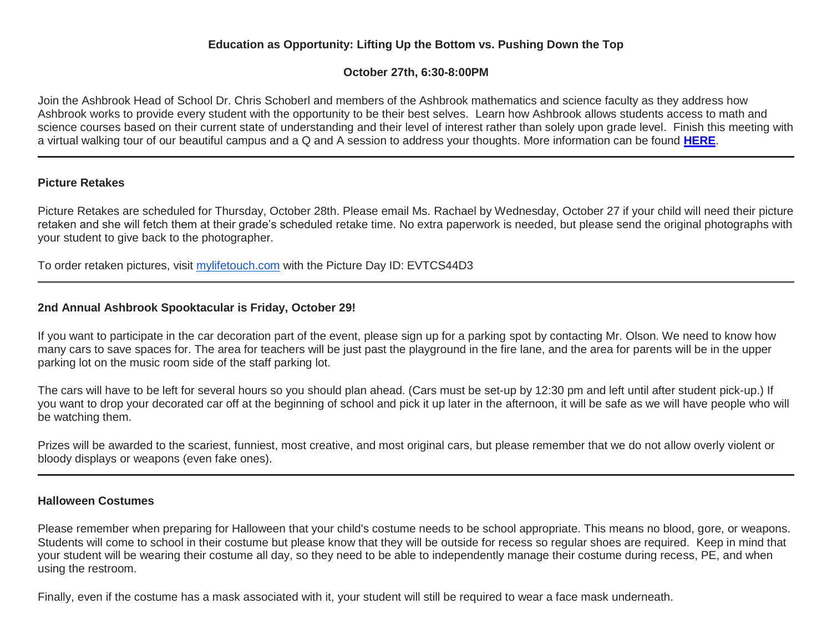# **Education as Opportunity: Lifting Up the Bottom vs. Pushing Down the Top**

# **October 27th, 6:30-8:00PM**

Join the Ashbrook Head of School Dr. Chris Schoberl and members of the Ashbrook mathematics and science faculty as they address how Ashbrook works to provide every student with the opportunity to be their best selves. Learn how Ashbrook allows students access to math and science courses based on their current state of understanding and their level of interest rather than solely upon grade level. Finish this meeting with a virtual walking tour of our beautiful campus and a Q and A session to address your thoughts. More information can be found **[HERE](http://link.mystudentsprogress.com/ls/click?upn=VpBe6Z9t6RkEC4qAoQCerkRqVNRJCi4SE2bZPjoSvlxhj4mrrx4sF5albLPCxerkfKVfGjO7yszFnTj4bKrODN49rneal2-2FX7vX7I0MKuBUpD8ryUaIZJactz2aNWd-2B7BZ8igC5f6YbdDCgFU5Rjmw-3D-3Dzw2q_1PndbFfBoQGSZbxwXHHEexw3B2F0fG-2BUmuXm6a-2BX-2BztL4bVFBbsUEX81fS02vPA2aNsEg1AcYV-2FNXCTHNHcFUUCV297sZ8Z6LprqwvbJY66m5j-2Brri0ke-2F-2BfkUjhjn4SZwj4QGaB3AapU0znunVpcQzAjef0AQf-2FZW17FCR4edAA1YNR1ISEkI3-2B-2BAd8Q47EaONy4wujUTmWutdYIxIcgCGmVOPRNedn6qCvpR-2BjsgVxgnLujUUI7Xjm5f-2F-2BPak9FCsAr0eTz1kHH1QEySeptlE7WKuSx7JtBn1QMg3FGde6BR-2FriMaUVJgH3GonQIetDSdIp8bACZNV6IYNj6ThAfH3Yi2E9WKn7efhWqUIcBVaWpiAo5zqsxoeuxJV1SQzGUtZanPtDMI8oIsK1UeINP2PI02PFI-2FO9sNUZrSX8MTEMkY1no1IQr-2BaWpempnI6)**.

#### **Picture Retakes**

Picture Retakes are scheduled for Thursday, October 28th. Please email Ms. Rachael by Wednesday, October 27 if your child will need their picture retaken and she will fetch them at their grade's scheduled retake time. No extra paperwork is needed, but please send the original photographs with your student to give back to the photographer.

To order retaken pictures, visit [mylifetouch.com](http://mylifetouch.com/) with the Picture Day ID: EVTCS44D3

# **2nd Annual Ashbrook Spooktacular is Friday, October 29!**

If you want to participate in the car decoration part of the event, please sign up for a parking spot by contacting Mr. Olson. We need to know how many cars to save spaces for. The area for teachers will be just past the playground in the fire lane, and the area for parents will be in the upper parking lot on the music room side of the staff parking lot.

The cars will have to be left for several hours so you should plan ahead. (Cars must be set-up by 12:30 pm and left until after student pick-up.) If you want to drop your decorated car off at the beginning of school and pick it up later in the afternoon, it will be safe as we will have people who will be watching them.

Prizes will be awarded to the scariest, funniest, most creative, and most original cars, but please remember that we do not allow overly violent or bloody displays or weapons (even fake ones).

#### **Halloween Costumes**

Please remember when preparing for Halloween that your child's costume needs to be school appropriate. This means no blood, gore, or weapons. Students will come to school in their costume but please know that they will be outside for recess so regular shoes are required. Keep in mind that your student will be wearing their costume all day, so they need to be able to independently manage their costume during recess, PE, and when using the restroom.

Finally, even if the costume has a mask associated with it, your student will still be required to wear a face mask underneath.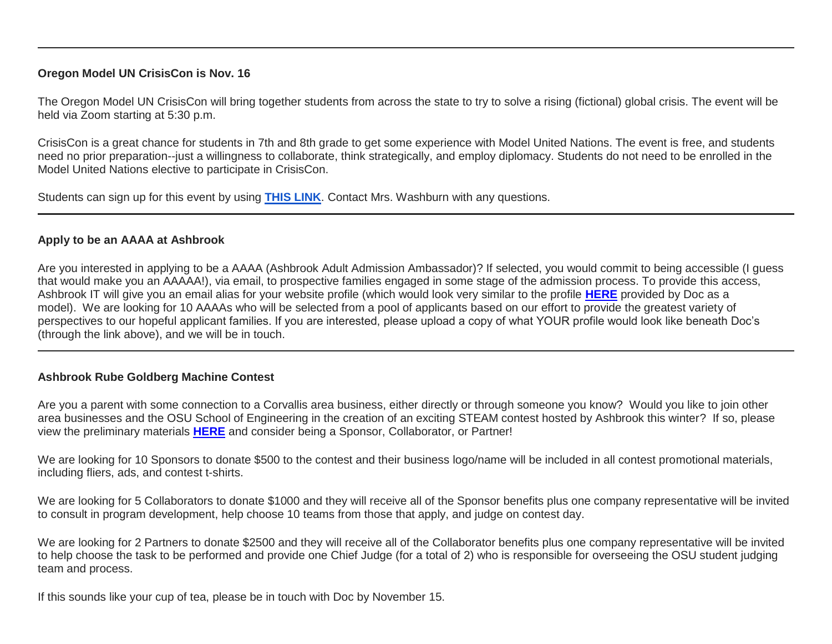## **Oregon Model UN CrisisCon is Nov. 16**

The Oregon Model UN CrisisCon will bring together students from across the state to try to solve a rising (fictional) global crisis. The event will be held via Zoom starting at 5:30 p.m.

CrisisCon is a great chance for students in 7th and 8th grade to get some experience with Model United Nations. The event is free, and students need no prior preparation--just a willingness to collaborate, think strategically, and employ diplomacy. Students do not need to be enrolled in the Model United Nations elective to participate in CrisisCon.

Students can sign up for this event by using **[THIS LINK](http://link.mystudentsprogress.com/ls/click?upn=5XDbAd9r0ovG7GZusFBG8Ihlf7Cl29OR536lydiEAkyElhsZpsZiqwXjs08gJfVG5oKLbu-2F2BC0-2B0ZF4AJRZGWPFSmgvrVLnPgSot6WpXv1fl-2B8xj83lwYpYkx5bbOYZhuEdpwOUT5hGQDP8Aksb-2Fw-3D-3D04BR_1PndbFfBoQGSZbxwXHHEexw3B2F0fG-2BUmuXm6a-2BX-2BztL4bVFBbsUEX81fS02vPA2aNsEg1AcYV-2FNXCTHNHcFUbr-2F1HYBVd5MNk6GNh6sc-2BKWfS-2Bg3pRm74WzLdql8Tled-2BqoShQnVzQbGODkFVgEg0ws-2FEahuCJGOBA4LQjWFW9uoS0e9XnaIaM-2BMbfsx1-2B2FIlLUrb8-2FhUNRQWJTyg8Q7lZwWsvxk55-2Fk3XyPd-2BpplYHMre-2Bva-2Ffiq5Lwovf0ahq9y2H5r-2Bmxkvuze8Wthich2RQIci-2B6Lw0cILdxGURHb1LbYRLkOE8XSsMlGdKgxVQ53G5vtUnzYs5dM-2FNSz2QkluP8MhKG8d6sutBjjGwH2R4ImcyWp2A5RezgAf04KyJXNoZwu52yY42JoDqSYZWa-2FW26phqjVMdhgpvuSOpoZnT-2B1ty1w9ClzHrpiVNZOn)**. Contact Mrs. Washburn with any questions.

#### **Apply to be an AAAA at Ashbrook**

Are you interested in applying to be a AAAA (Ashbrook Adult Admission Ambassador)? If selected, you would commit to being accessible (I guess that would make you an AAAAA!), via email, to prospective families engaged in some stage of the admission process. To provide this access, Ashbrook IT will give you an email alias for your website profile (which would look very similar to the profile **[HERE](http://link.mystudentsprogress.com/ls/click?upn=VpBe6Z9t6RkEC4qAoQCerkRqVNRJCi4SE2bZPjoSvlzimYlXtZ4BgnvOTiYIdH1aFO5wiRsMFgAuIJWWpG6uFZ8Va3vqO0KLZ6GEpylEIMh9soVujh17Xj9Fxl7Wm9YOSVZMd3WUiiYlhZgtiWqRpQ-3D-3DAK61_1PndbFfBoQGSZbxwXHHEexw3B2F0fG-2BUmuXm6a-2BX-2BztL4bVFBbsUEX81fS02vPA2aNsEg1AcYV-2FNXCTHNHcFUWQTYwKOV2yl1Bm112cR5WopYpSC6QQrfRw0Rf6kr6xA-2FphjWaAkQJE-2FF9mmVs-2BG0-2FkVujvwNSNrhkhHQ3rWNxDJXnJVc8fcCV5nYJI4YMZV-2B5AWS8i7LVpGW-2Fiu4Pws3dAmYYBdD8YzhPnZcFLtFhdQFpJge-2F9V6MJ3iZz-2FrfH8HSdUiUfbwPq0-2FkSkq3-2B1-2FqkIA-2BloZcZ5d1dgMlcmmhDrp6VIkOBY37pTtL8ol9zQ6kKbQBbSb-2BpwW4706XVgN-2Bh6bY9W5BWVWHcgNOGY-2BCSMnWiSuaaxJGmtC6Hugr3aULiqJ4fOfCfMe7NF3vzuvTf3YgHkazkYHnSEV-2FTcd8FGhXgdMG4qvguu90vBCMpy)** provided by Doc as a model). We are looking for 10 AAAAs who will be selected from a pool of applicants based on our effort to provide the greatest variety of perspectives to our hopeful applicant families. If you are interested, please upload a copy of what YOUR profile would look like beneath Doc's (through the link above), and we will be in touch.

## **Ashbrook Rube Goldberg Machine Contest**

Are you a parent with some connection to a Corvallis area business, either directly or through someone you know? Would you like to join other area businesses and the OSU School of Engineering in the creation of an exciting STEAM contest hosted by Ashbrook this winter? If so, please view the preliminary materials **[HERE](http://link.mystudentsprogress.com/ls/click?upn=VpBe6Z9t6RkEC4qAoQCerkRqVNRJCi4SE2bZPjoSvlyQoeU-2FIMLvrrQLugoxaQDi4hBir2PlvtR1m1s3i4Q-2F8ZtbmNMAAmHZgcKYEJ-2FvJ73jteYeK25VK8uh2z05jsqh1liEV0kR6KEK9zTqAq-2B0Ng-3D-3DAy92_1PndbFfBoQGSZbxwXHHEexw3B2F0fG-2BUmuXm6a-2BX-2BztL4bVFBbsUEX81fS02vPA2aNsEg1AcYV-2FNXCTHNHcFUbDb21ZHwoN4bjVZzCgqlVoOVL73EH-2BqSTS8tzw2Eiq0AAUvJpnWmFa89HBekKgaJvxdLv-2BSxu7EtCBBl-2BCPhz1C6kIfzMuEMmVvGMIcbIyTaljk00AOorf-2BIlnkiIjuj963fjDN-2FTuzvto6EqU4jqCEdvm8osRL0nLopiU2ip7XcMQL7m3lg1UODf9c9jQSJVdYW5dDsIKnGKbrXGzmx80tpUMK3-2BBCagrDY0GV7EDzQkwCw4R23YqqwCbx5uVzwbK8KrSrXBtpBteImMh17F-2BmtMayXYrnAg4XQbkB7WlFFF5q0rK5YftwMZd2erItIJRLPNWnO91F0KY0Vad7XQZT9DSm5vdvAwOCl5zcuTyF)** and consider being a Sponsor, Collaborator, or Partner!

We are looking for 10 Sponsors to donate \$500 to the contest and their business logo/name will be included in all contest promotional materials, including fliers, ads, and contest t-shirts.

We are looking for 5 Collaborators to donate \$1000 and they will receive all of the Sponsor benefits plus one company representative will be invited to consult in program development, help choose 10 teams from those that apply, and judge on contest day.

We are looking for 2 Partners to donate \$2500 and they will receive all of the Collaborator benefits plus one company representative will be invited to help choose the task to be performed and provide one Chief Judge (for a total of 2) who is responsible for overseeing the OSU student judging team and process.

If this sounds like your cup of tea, please be in touch with Doc by November 15.